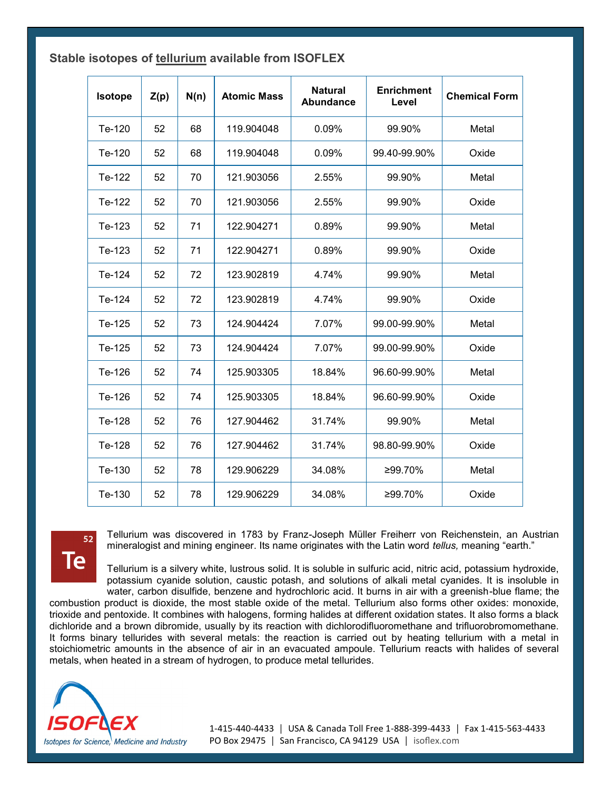| Stable isotopes of tellurium available from ISOFLEX |  |  |  |  |  |  |
|-----------------------------------------------------|--|--|--|--|--|--|
|-----------------------------------------------------|--|--|--|--|--|--|

| <b>Isotope</b> | Z(p) | N(n) | <b>Atomic Mass</b> | <b>Natural</b><br><b>Abundance</b> | <b>Enrichment</b><br>Level | <b>Chemical Form</b> |
|----------------|------|------|--------------------|------------------------------------|----------------------------|----------------------|
| Te-120         | 52   | 68   | 119.904048         | 0.09%                              | 99.90%                     | Metal                |
| Te-120         | 52   | 68   | 119.904048         | 0.09%                              | 99.40-99.90%               | Oxide                |
| Te-122         | 52   | 70   | 121.903056         | 2.55%                              | 99.90%                     | Metal                |
| Te-122         | 52   | 70   | 121.903056         | 2.55%                              | 99.90%                     | Oxide                |
| Te-123         | 52   | 71   | 122.904271         | 0.89%                              | 99.90%                     | Metal                |
| Te-123         | 52   | 71   | 122.904271         | 0.89%                              | 99.90%                     | Oxide                |
| Te-124         | 52   | 72   | 123.902819         | 4.74%                              | 99.90%                     | Metal                |
| Te-124         | 52   | 72   | 123.902819         | 4.74%                              | 99.90%                     | Oxide                |
| Te-125         | 52   | 73   | 124.904424         | 7.07%                              | 99.00-99.90%               | Metal                |
| Te-125         | 52   | 73   | 124.904424         | 7.07%                              | 99.00-99.90%               | Oxide                |
| Te-126         | 52   | 74   | 125.903305         | 18.84%                             | 96.60-99.90%               | Metal                |
| Te-126         | 52   | 74   | 125.903305         | 18.84%                             | 96.60-99.90%               | Oxide                |
| Te-128         | 52   | 76   | 127.904462         | 31.74%                             | 99.90%                     | Metal                |
| Te-128         | 52   | 76   | 127.904462         | 31.74%                             | 98.80-99.90%               | Oxide                |
| Te-130         | 52   | 78   | 129.906229         | 34.08%                             | ≥99.70%                    | Metal                |
| Te-130         | 52   | 78   | 129.906229         | 34.08%                             | ≥99.70%                    | Oxide                |



Tellurium was discovered in 1783 by Franz-Joseph Müller Freiherr von Reichenstein, an Austrian mineralogist and mining engineer. Its name originates with the Latin word *tellus,* meaning "earth."

Tellurium is a silvery white, lustrous solid. It is soluble in sulfuric acid, nitric acid, potassium hydroxide, potassium cyanide solution, caustic potash, and solutions of alkali metal cyanides. It is insoluble in water, carbon disulfide, benzene and hydrochloric acid. It burns in air with a greenish-blue flame; the

combustion product is dioxide, the most stable oxide of the metal. Tellurium also forms other oxides: monoxide, trioxide and pentoxide. It combines with halogens, forming halides at different oxidation states. It also forms a black dichloride and a brown dibromide, usually by its reaction with dichlorodifluoromethane and trifluorobromomethane. It forms binary tellurides with several metals: the reaction is carried out by heating tellurium with a metal in stoichiometric amounts in the absence of air in an evacuated ampoule. Tellurium reacts with halides of several metals, when heated in a stream of hydrogen, to produce metal tellurides.

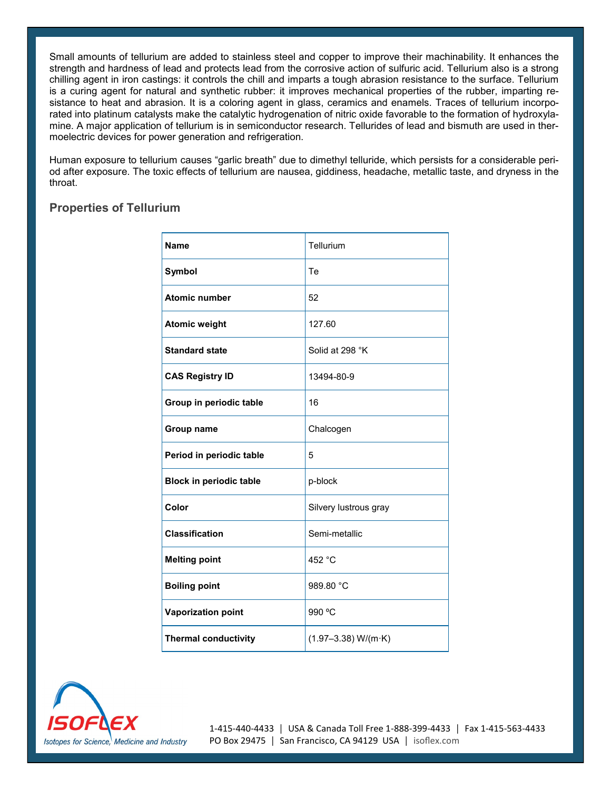Small amounts of tellurium are added to stainless steel and copper to improve their machinability. It enhances the strength and hardness of lead and protects lead from the corrosive action of sulfuric acid. Tellurium also is a strong chilling agent in iron castings: it controls the chill and imparts a tough abrasion resistance to the surface. Tellurium is a curing agent for natural and synthetic rubber: it improves mechanical properties of the rubber, imparting resistance to heat and abrasion. It is a coloring agent in glass, ceramics and enamels. Traces of tellurium incorporated into platinum catalysts make the catalytic hydrogenation of nitric oxide favorable to the formation of hydroxylamine. A major application of tellurium is in semiconductor research. Tellurides of lead and bismuth are used in thermoelectric devices for power generation and refrigeration.

Human exposure to tellurium causes "garlic breath" due to dimethyl telluride, which persists for a considerable period after exposure. The toxic effects of tellurium are nausea, giddiness, headache, metallic taste, and dryness in the throat.

## **Properties of Tellurium**

| <b>Name</b>                    | Tellurium                     |
|--------------------------------|-------------------------------|
| Symbol                         | Te                            |
| <b>Atomic number</b>           | 52                            |
| <b>Atomic weight</b>           | 127.60                        |
| <b>Standard state</b>          | Solid at 298 °K               |
| <b>CAS Registry ID</b>         | 13494-80-9                    |
| Group in periodic table        | 16                            |
| Group name                     | Chalcogen                     |
| Period in periodic table       | 5                             |
| <b>Block in periodic table</b> | p-block                       |
| Color                          | Silvery lustrous gray         |
| <b>Classification</b>          | Semi-metallic                 |
| <b>Melting point</b>           | 452 °C                        |
| <b>Boiling point</b>           | 989.80 °C                     |
| <b>Vaporization point</b>      | 990 °C                        |
| <b>Thermal conductivity</b>    | $(1.97 - 3.38) W/(m \cdot K)$ |